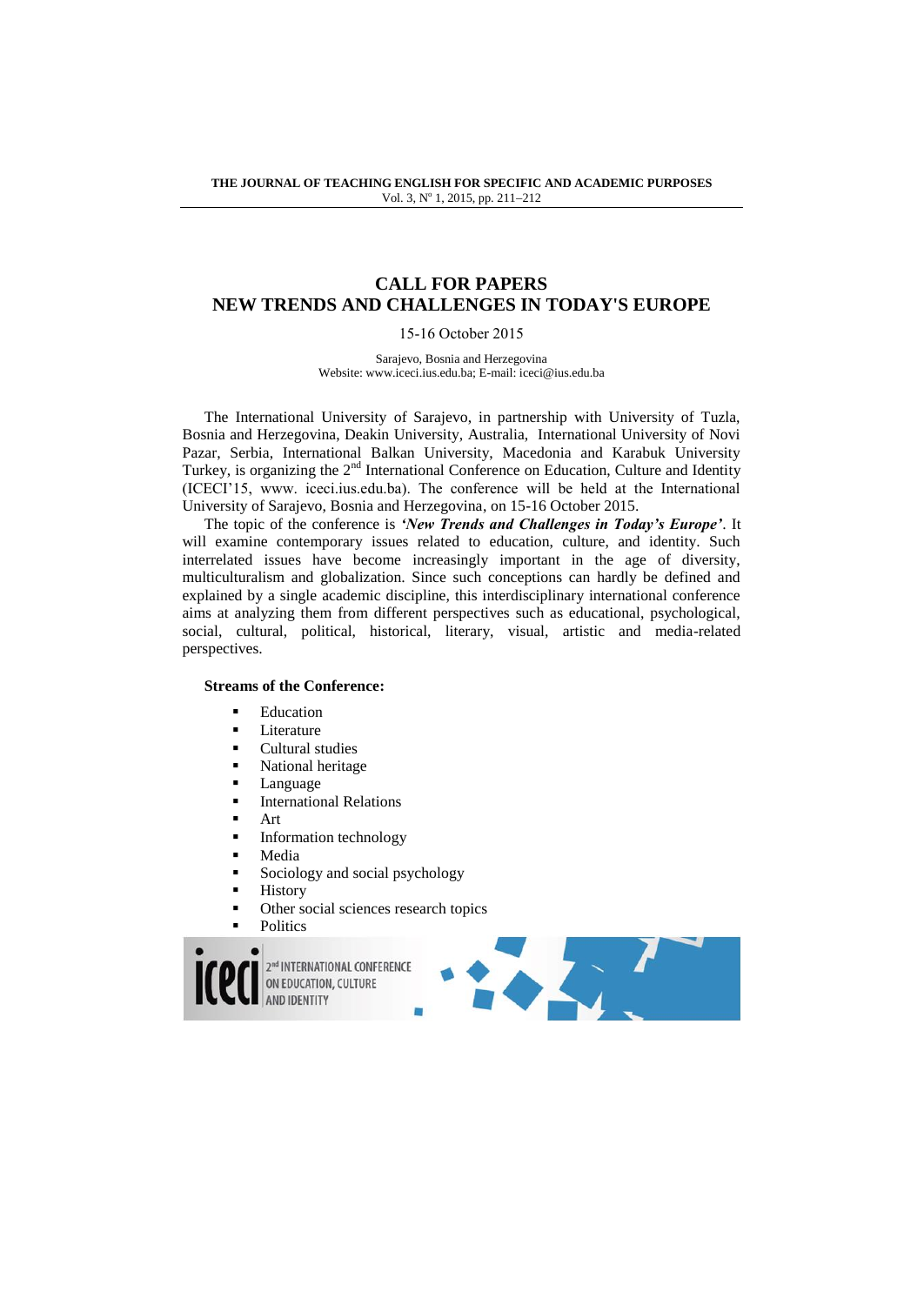**THE JOURNAL OF TEACHING ENGLISH FOR SPECIFIC AND ACADEMIC PURPOSES** Vol. 3, Nº 1, 2015, pp. 211-212

## **CALL FOR PAPERS NEW TRENDS AND CHALLENGES IN TODAY'S EUROPE**

15-16 October 2015

Sarajevo, Bosnia and Herzegovina Website: www.iceci.ius.edu.ba; E-mail: iceci@ius.edu.ba

The International University of Sarajevo, in partnership with University of Tuzla, Bosnia and Herzegovina, Deakin University, Australia, International University of Novi Pazar, Serbia, International Balkan University, Macedonia and Karabuk University Turkey, is organizing the 2<sup>nd</sup> International Conference on Education, Culture and Identity (ICECI'15, www. iceci.ius.edu.ba). The conference will be held at the International University of Sarajevo, Bosnia and Herzegovina, on 15-16 October 2015.

The topic of the conference is *'New Trends and Challenges in Today's Europe'*. It will examine contemporary issues related to education, culture, and identity. Such interrelated issues have become increasingly important in the age of diversity, multiculturalism and globalization. Since such conceptions can hardly be defined and explained by a single academic discipline, this interdisciplinary international conference aims at analyzing them from different perspectives such as educational, psychological, social, cultural, political, historical, literary, visual, artistic and media-related perspectives.

## **Streams of the Conference:**

- Education
- Literature
- **Cultural studies**
- National heritage
- Language
- International Relations
- Art
- **Information technology**
- **Media**
- Sociology and social psychology
- **History**
- Other social sciences research topics
- Politics